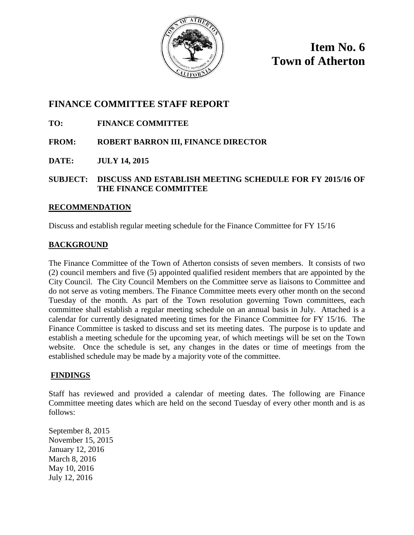

**Item No. 6 Town of Atherton**

### **FINANCE COMMITTEE STAFF REPORT**

### **TO: FINANCE COMMITTEE**

#### **FROM: ROBERT BARRON III, FINANCE DIRECTOR**

**DATE: JULY 14, 2015**

#### **SUBJECT: DISCUSS AND ESTABLISH MEETING SCHEDULE FOR FY 2015/16 OF THE FINANCE COMMITTEE**

#### **RECOMMENDATION**

Discuss and establish regular meeting schedule for the Finance Committee for FY 15/16

#### **BACKGROUND**

The Finance Committee of the Town of Atherton consists of seven members. It consists of two (2) council members and five (5) appointed qualified resident members that are appointed by the City Council. The City Council Members on the Committee serve as liaisons to Committee and do not serve as voting members. The Finance Committee meets every other month on the second Tuesday of the month. As part of the Town resolution governing Town committees, each committee shall establish a regular meeting schedule on an annual basis in July. Attached is a calendar for currently designated meeting times for the Finance Committee for FY 15/16. The Finance Committee is tasked to discuss and set its meeting dates. The purpose is to update and establish a meeting schedule for the upcoming year, of which meetings will be set on the Town website. Once the schedule is set, any changes in the dates or time of meetings from the established schedule may be made by a majority vote of the committee.

### **FINDINGS**

Staff has reviewed and provided a calendar of meeting dates. The following are Finance Committee meeting dates which are held on the second Tuesday of every other month and is as follows:

September 8, 2015 November 15, 2015 January 12, 2016 March 8, 2016 May 10, 2016 July 12, 2016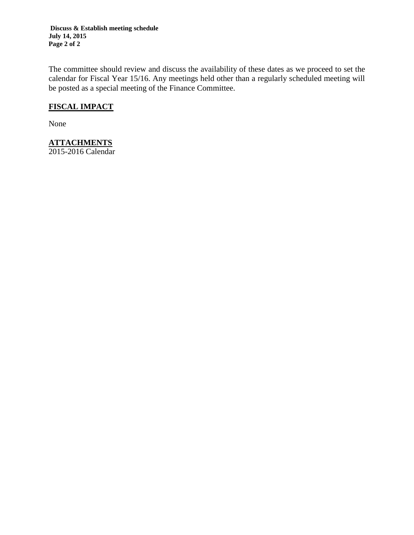**Discuss & Establish meeting schedule July 14, 2015 Page 2 of 2**

The committee should review and discuss the availability of these dates as we proceed to set the calendar for Fiscal Year 15/16. Any meetings held other than a regularly scheduled meeting will be posted as a special meeting of the Finance Committee.

### **FISCAL IMPACT**

None

### **ATTACHMENTS**

2015-2016 Calendar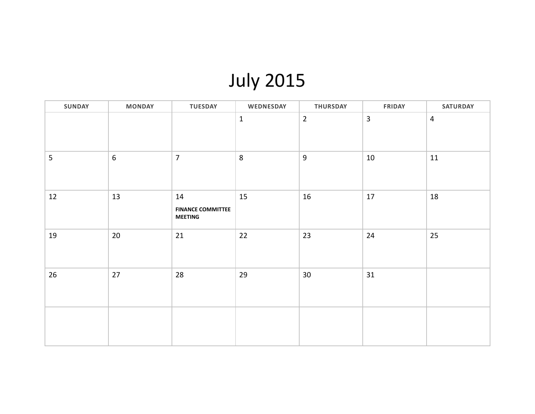# July 2015

| SUNDAY         | <b>MONDAY</b> | <b>TUESDAY</b>                                   | WEDNESDAY | THURSDAY       | <b>FRIDAY</b> | SATURDAY       |
|----------------|---------------|--------------------------------------------------|-----------|----------------|---------------|----------------|
|                |               |                                                  | $1\,$     | $\overline{2}$ | $\mathbf{3}$  | $\overline{4}$ |
| $5\phantom{.}$ | $6\,$         | $\overline{7}$                                   | 8         | $9\,$          | 10            | 11             |
| 12             | 13            | 14<br><b>FINANCE COMMITTEE</b><br><b>MEETING</b> | 15        | 16             | 17            | 18             |
| 19             | 20            | 21                                               | 22        | 23             | 24            | 25             |
| 26             | $27$          | 28                                               | 29        | $30\,$         | 31            |                |
|                |               |                                                  |           |                |               |                |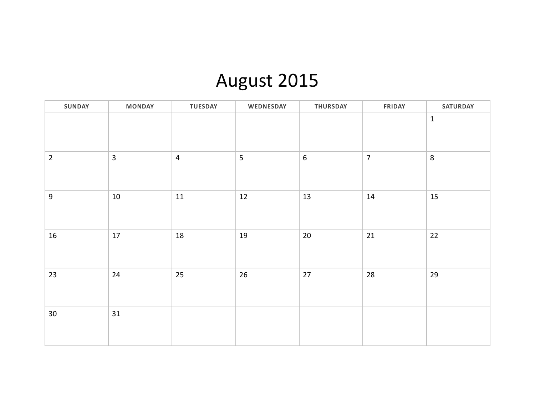### August 2015

| SUNDAY          | <b>MONDAY</b>  | TUESDAY        | WEDNESDAY | THURSDAY   | FRIDAY         | SATURDAY    |
|-----------------|----------------|----------------|-----------|------------|----------------|-------------|
|                 |                |                |           |            |                | $\mathbf 1$ |
| $\overline{2}$  | $\overline{3}$ | $\overline{4}$ | 5         | $\sqrt{6}$ | $\overline{7}$ | 8           |
| $\overline{9}$  | $10\,$         | $11\,$         | 12        | $13\,$     | $14\,$         | 15          |
| 16              | $17\,$         | 18             | 19        | $20\,$     | 21             | 22          |
| 23              | 24             | 25             | 26        | $27\,$     | 28             | 29          |
| 30 <sup>°</sup> | 31             |                |           |            |                |             |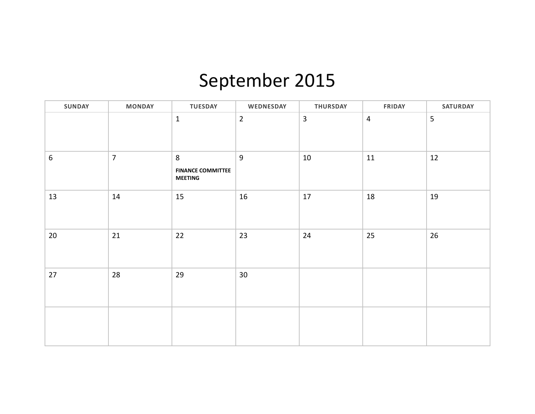# September 2015

| <b>SUNDAY</b>    | <b>MONDAY</b>  | <b>TUESDAY</b>                                  | WEDNESDAY      | THURSDAY       | <b>FRIDAY</b>  | <b>SATURDAY</b> |
|------------------|----------------|-------------------------------------------------|----------------|----------------|----------------|-----------------|
|                  |                | $\mathbf 1$                                     | $\overline{2}$ | $\overline{3}$ | $\overline{4}$ | 5               |
| $\boldsymbol{6}$ | $\overline{7}$ | 8<br><b>FINANCE COMMITTEE</b><br><b>MEETING</b> | $\overline{9}$ | $10\,$         | 11             | 12              |
| 13               | 14             | 15                                              | 16             | $17\,$         | $18\,$         | 19              |
| $20\,$           | 21             | 22                                              | 23             | 24             | 25             | 26              |
| 27               | 28             | 29                                              | 30             |                |                |                 |
|                  |                |                                                 |                |                |                |                 |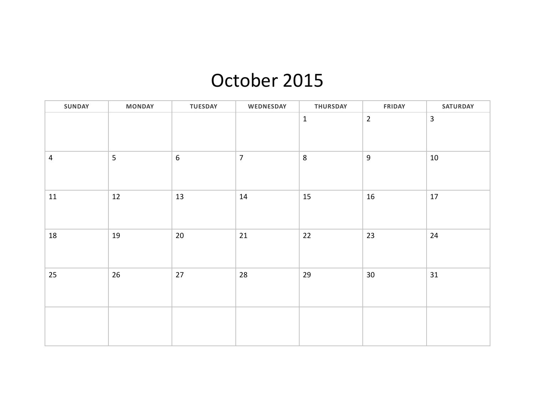### October 2015

| SUNDAY         | <b>MONDAY</b> | <b>TUESDAY</b>   | WEDNESDAY      | THURSDAY    | <b>FRIDAY</b>  | SATURDAY       |
|----------------|---------------|------------------|----------------|-------------|----------------|----------------|
|                |               |                  |                | $\mathbf 1$ | $\overline{2}$ | $\overline{3}$ |
| $\overline{4}$ | 5             | $\boldsymbol{6}$ | $\overline{7}$ | $\,8\,$     | $\overline{9}$ | $10\,$         |
| 11             | 12            | 13               | 14             | $15\,$      | 16             | $17\,$         |
| 18             | 19            | $20\,$           | 21             | 22          | 23             | 24             |
| 25             | 26            | $27$             | 28             | 29          | $30\,$         | 31             |
|                |               |                  |                |             |                |                |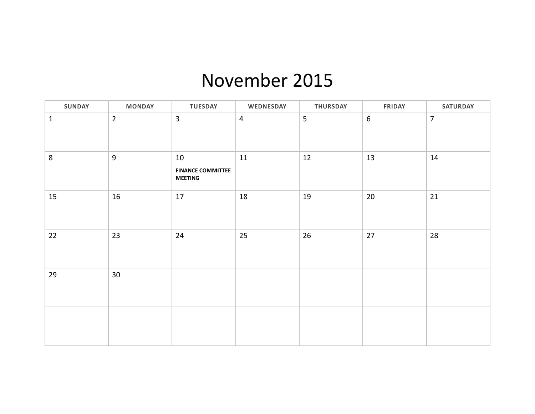### November 2015

| <b>SUNDAY</b> | <b>MONDAY</b>  | <b>TUESDAY</b>                                   | WEDNESDAY      | <b>THURSDAY</b> | <b>FRIDAY</b>    | <b>SATURDAY</b> |
|---------------|----------------|--------------------------------------------------|----------------|-----------------|------------------|-----------------|
| $\mathbf{1}$  | $\overline{2}$ | $\overline{3}$                                   | $\overline{4}$ | 5               | $\boldsymbol{6}$ | $\overline{7}$  |
| 8             | $9\,$          | 10<br><b>FINANCE COMMITTEE</b><br><b>MEETING</b> | 11             | 12              | 13               | 14              |
| 15            | 16             | $17\,$                                           | 18             | 19              | $20\,$           | 21              |
| 22            | 23             | 24                                               | 25             | $26\,$          | 27               | 28              |
| 29            | $30\,$         |                                                  |                |                 |                  |                 |
|               |                |                                                  |                |                 |                  |                 |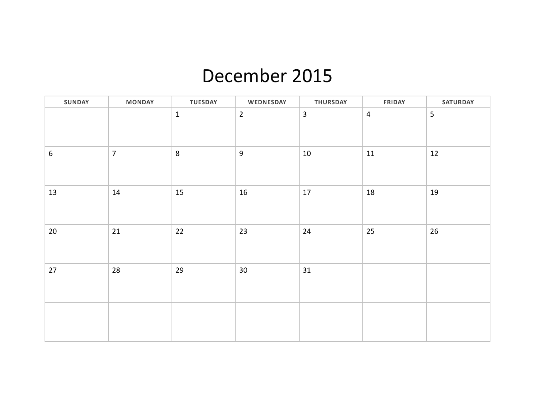### December 2015

| <b>SUNDAY</b> | <b>MONDAY</b>  | <b>TUESDAY</b> | WEDNESDAY       | <b>THURSDAY</b> | <b>FRIDAY</b>  | <b>SATURDAY</b> |
|---------------|----------------|----------------|-----------------|-----------------|----------------|-----------------|
|               |                | $\mathbf 1$    | $\overline{2}$  | $\overline{3}$  | $\overline{4}$ | 5               |
| $6\,$         | $\overline{7}$ | $\,8\,$        | $\overline{9}$  | $10\,$          | $11\,$         | 12              |
| 13            | 14             | 15             | 16              | $17\,$          | 18             | 19              |
| 20            | 21             | 22             | 23              | 24              | 25             | 26              |
| 27            | 28             | 29             | 30 <sub>o</sub> | 31              |                |                 |
|               |                |                |                 |                 |                |                 |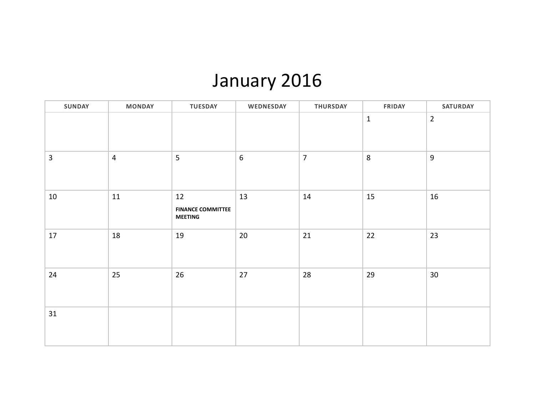# January 2016

| SUNDAY         | <b>MONDAY</b>  | <b>TUESDAY</b>                                   | WEDNESDAY        | THURSDAY       | <b>FRIDAY</b> | <b>SATURDAY</b>  |
|----------------|----------------|--------------------------------------------------|------------------|----------------|---------------|------------------|
|                |                |                                                  |                  |                | $\mathbf 1$   | $\overline{2}$   |
| $\overline{3}$ | $\overline{4}$ | 5                                                | $\boldsymbol{6}$ | $\overline{7}$ | $\,8\,$       | $\boldsymbol{9}$ |
| $10\,$         | 11             | 12<br><b>FINANCE COMMITTEE</b><br><b>MEETING</b> | 13               | 14             | 15            | 16               |
| 17             | 18             | 19                                               | 20               | 21             | 22            | 23               |
| 24             | 25             | 26                                               | 27               | 28             | 29            | 30               |
| 31             |                |                                                  |                  |                |               |                  |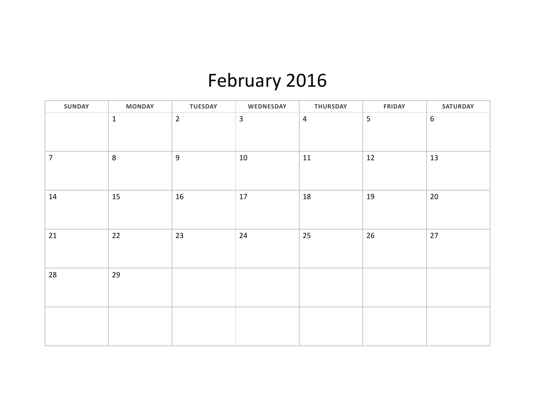# February 2016

| SUNDAY         | <b>MONDAY</b> | <b>TUESDAY</b> | WEDNESDAY      | <b>THURSDAY</b> | <b>FRIDAY</b>  | <b>SATURDAY</b> |
|----------------|---------------|----------------|----------------|-----------------|----------------|-----------------|
|                | $1\,$         | $\overline{2}$ | $\overline{3}$ | $\overline{4}$  | $\overline{5}$ | $6\,$           |
| $\overline{7}$ | 8             | $9\,$          | $10\,$         | $11\,$          | 12             | 13              |
| 14             | 15            | 16             | 17             | $18\,$          | 19             | $20\,$          |
| 21             | 22            | 23             | 24             | 25              | 26             | $27$            |
| 28             | 29            |                |                |                 |                |                 |
|                |               |                |                |                 |                |                 |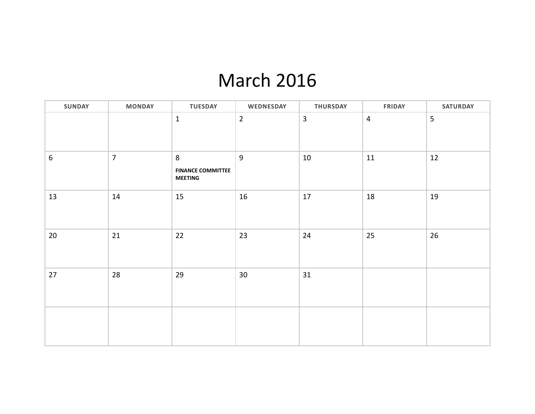### March 2016

| SUNDAY           | <b>MONDAY</b>  | <b>TUESDAY</b>                                  | WEDNESDAY      | THURSDAY       | <b>FRIDAY</b>  | SATURDAY |
|------------------|----------------|-------------------------------------------------|----------------|----------------|----------------|----------|
|                  |                | $\mathbf 1$                                     | $\overline{2}$ | $\overline{3}$ | $\overline{4}$ | 5        |
| $\boldsymbol{6}$ | $\overline{7}$ | 8<br><b>FINANCE COMMITTEE</b><br><b>MEETING</b> | 9              | 10             | 11             | 12       |
| 13               | 14             | 15                                              | 16             | $17\,$         | 18             | 19       |
| $20\degree$      | 21             | 22                                              | 23             | 24             | 25             | 26       |
| 27               | 28             | 29                                              | 30             | 31             |                |          |
|                  |                |                                                 |                |                |                |          |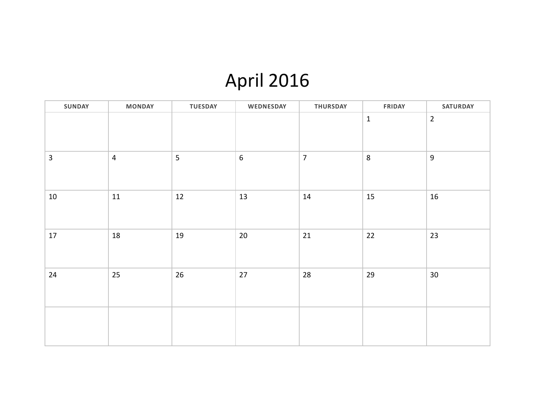## April 2016

| SUNDAY         | <b>MONDAY</b>  | <b>TUESDAY</b> | WEDNESDAY  | THURSDAY       | <b>FRIDAY</b> | SATURDAY        |
|----------------|----------------|----------------|------------|----------------|---------------|-----------------|
|                |                |                |            |                | $\mathbf 1$   | $\overline{2}$  |
| $\overline{3}$ | $\overline{4}$ | 5              | $\sqrt{6}$ | $\overline{7}$ | $\, 8$        | $\overline{9}$  |
| 10             | 11             | 12             | 13         | 14             | 15            | 16              |
| $17\,$         | 18             | 19             | $20\,$     | $21\,$         | $22\,$        | 23              |
| 24             | 25             | 26             | 27         | $28\,$         | 29            | 30 <sub>o</sub> |
|                |                |                |            |                |               |                 |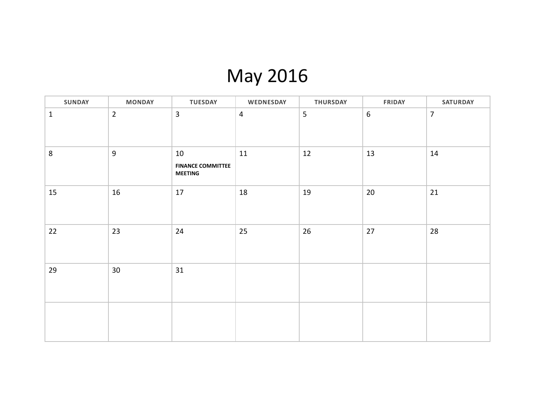## May 2016

| <b>SUNDAY</b> | <b>MONDAY</b>  | <b>TUESDAY</b>                                   | WEDNESDAY      | <b>THURSDAY</b> | <b>FRIDAY</b>    | <b>SATURDAY</b> |
|---------------|----------------|--------------------------------------------------|----------------|-----------------|------------------|-----------------|
| $\mathbf{1}$  | $\overline{2}$ | $\overline{3}$                                   | $\overline{4}$ | 5               | $\boldsymbol{6}$ | $\overline{7}$  |
| $\,8\,$       | 9              | 10<br><b>FINANCE COMMITTEE</b><br><b>MEETING</b> | 11             | 12              | 13               | 14              |
| 15            | 16             | 17                                               | 18             | 19              | $20\,$           | 21              |
| 22            | 23             | 24                                               | 25             | 26              | 27               | 28              |
| 29            | 30             | 31                                               |                |                 |                  |                 |
|               |                |                                                  |                |                 |                  |                 |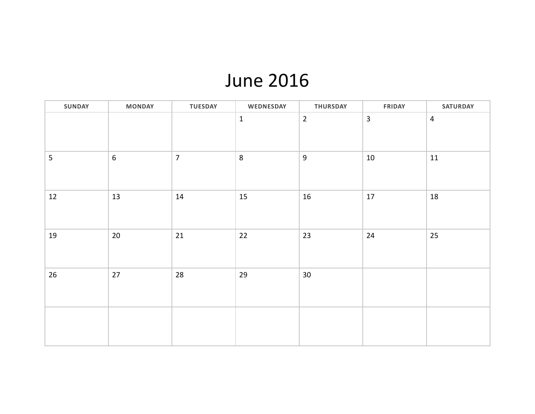### June 2016

| SUNDAY | <b>MONDAY</b>    | <b>TUESDAY</b> | WEDNESDAY   | <b>THURSDAY</b>  | <b>FRIDAY</b>  | SATURDAY       |
|--------|------------------|----------------|-------------|------------------|----------------|----------------|
|        |                  |                | $\mathbf 1$ | $\overline{2}$   | $\overline{3}$ | $\overline{4}$ |
| 5      | $\boldsymbol{6}$ | $\overline{7}$ | 8           | $\boldsymbol{9}$ | $10\,$         | $11\,$         |
| 12     | 13               | 14             | 15          | 16               | $17\,$         | 18             |
| 19     | 20               | 21             | 22          | 23               | 24             | 25             |
| 26     | $27$             | 28             | 29          | $30\,$           |                |                |
|        |                  |                |             |                  |                |                |